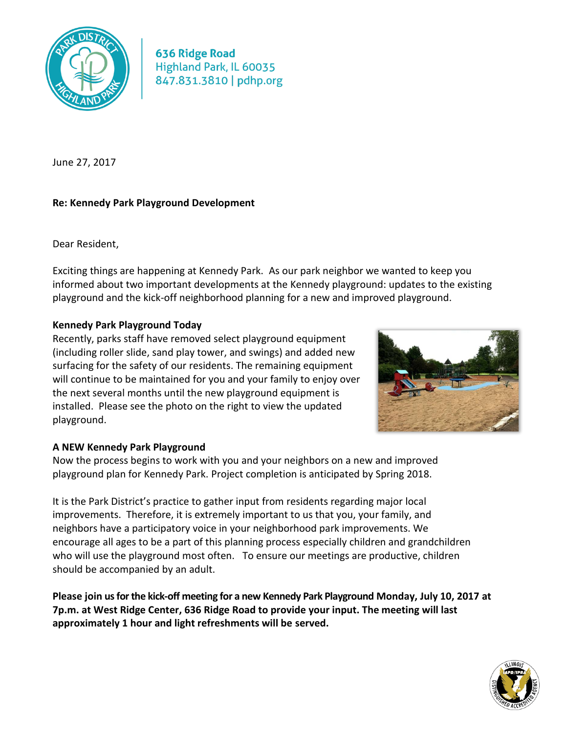

**636 Ridge Road** Highland Park, IL 60035 847.831.3810 | pdhp.org

June 27, 2017

## **Re: Kennedy Park Playground Development**

Dear Resident,

Exciting things are happening at Kennedy Park. As our park neighbor we wanted to keep you informed about two important developments at the Kennedy playground: updates to the existing playground and the kick-off neighborhood planning for a new and improved playground.

## **Kennedy Park Playground Today**

Recently, parks staff have removed select playground equipment (including roller slide, sand play tower, and swings) and added new surfacing for the safety of our residents. The remaining equipment will continue to be maintained for you and your family to enjoy over the next several months until the new playground equipment is installed. Please see the photo on the right to view the updated playground.



## **A NEW Kennedy Park Playground**

Now the process begins to work with you and your neighbors on a new and improved playground plan for Kennedy Park. Project completion is anticipated by Spring 2018.

It is the Park District's practice to gather input from residents regarding major local improvements. Therefore, it is extremely important to us that you, your family, and neighbors have a participatory voice in your neighborhood park improvements. We encourage all ages to be a part of this planning process especially children and grandchildren who will use the playground most often. To ensure our meetings are productive, children should be accompanied by an adult.

**Please join us for the kick-off meeting for a new Kennedy Park Playground Monday, July 10, 2017 at 7p.m. at West Ridge Center, 636 Ridge Road to provide your input. The meeting will last approximately 1 hour and light refreshments will be served.**